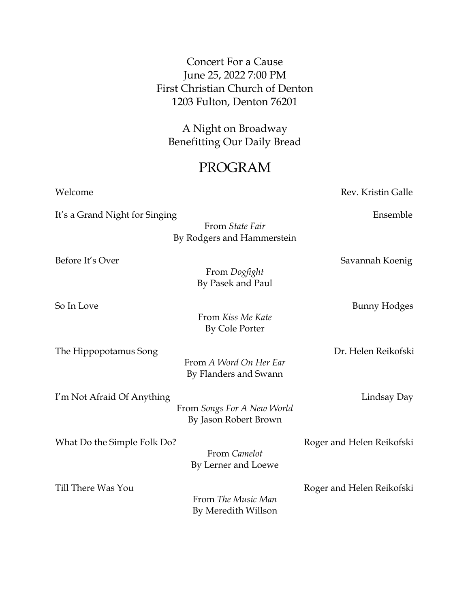## Concert For a Cause June 25, 2022 7:00 PM First Christian Church of Denton 1203 Fulton, Denton 76201

A Night on Broadway Benefitting Our Daily Bread

## PROGRAM

Welcome **Rev. Kristin Galle** It's a Grand Night for Singing Theorem 2012 School and Theorem 2013 School and Theorem 2013 School and Theorem 2013 From *State Fair* By Rodgers and Hammerstein Before It's Over Savannah Koenig From *Dogfight* By Pasek and Paul So In Love Bunny Hodges From *Kiss Me Kate* By Cole Porter The Hippopotamus Song Dr. Helen Reikofski From *A Word On Her Ear* By Flanders and Swann I'm Not Afraid Of Anything The Contract of Angles Contract and Lindsay Day From *Songs For A New World* By Jason Robert Brown What Do the Simple Folk Do? **Roger and Helen Reikofski** From *Camelot* By Lerner and Loewe Till There Was You **Roger and Helen Reikofski** From *The Music Man* By Meredith Willson